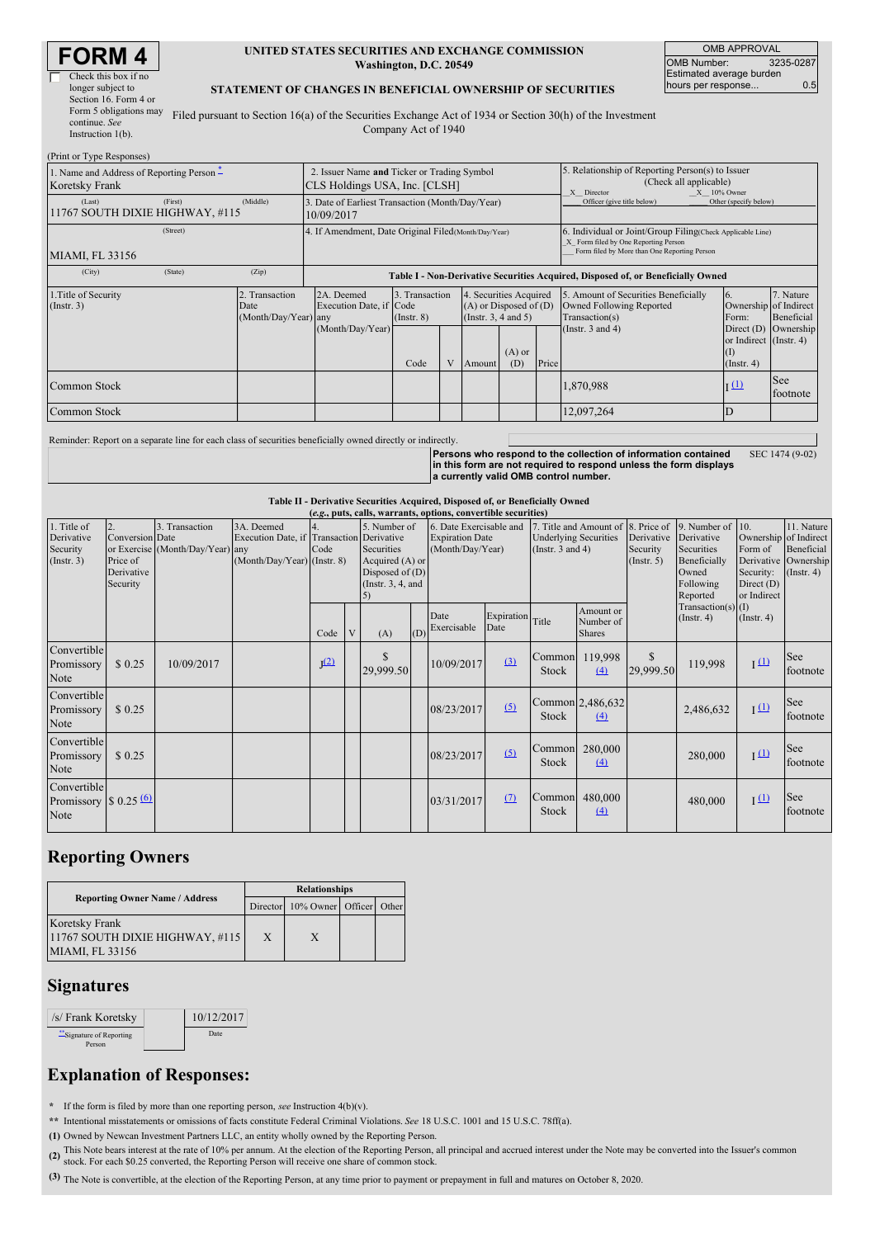|  | <b>FORM 4</b> |  |
|--|---------------|--|
|  |               |  |

| Check this box if no   |
|------------------------|
| longer subject to      |
| Section 16. Form 4 or  |
| Form 5 obligations may |
| continue. See          |
| Instruction 1(b).      |

#### **UNITED STATES SECURITIES AND EXCHANGE COMMISSION Washington, D.C. 20549**

OMB APPROVAL OMB Number: 3235-0287 Estimated average burden hours per response... 0.5

#### **STATEMENT OF CHANGES IN BENEFICIAL OWNERSHIP OF SECURITIES**

Filed pursuant to Section 16(a) of the Securities Exchange Act of 1934 or Section 30(h) of the Investment Company Act of 1940

| (Print or Type Responses)                                   |         |                                                                              |                                                                                  |                                   |   |                                                                                  |                 |                                                                                                              |                                                                                                                                                    |                                                           |                         |  |
|-------------------------------------------------------------|---------|------------------------------------------------------------------------------|----------------------------------------------------------------------------------|-----------------------------------|---|----------------------------------------------------------------------------------|-----------------|--------------------------------------------------------------------------------------------------------------|----------------------------------------------------------------------------------------------------------------------------------------------------|-----------------------------------------------------------|-------------------------|--|
| 1. Name and Address of Reporting Person –<br>Koretsky Frank |         | 2. Issuer Name and Ticker or Trading Symbol<br>CLS Holdings USA, Inc. [CLSH] |                                                                                  |                                   |   |                                                                                  |                 | 5. Relationship of Reporting Person(s) to Issuer<br>(Check all applicable)<br>$X = 10\%$ Owner<br>X Director |                                                                                                                                                    |                                                           |                         |  |
| (Last)<br>11767 SOUTH DIXIE HIGHWAY, #115                   | (First) | (Middle)                                                                     | 3. Date of Earliest Transaction (Month/Day/Year)<br>10/09/2017                   |                                   |   |                                                                                  |                 | Officer (give title below)                                                                                   | Other (specify below)                                                                                                                              |                                                           |                         |  |
| (Street)<br>MIAMI, FL 33156                                 |         |                                                                              | 4. If Amendment, Date Original Filed (Month/Day/Year)                            |                                   |   |                                                                                  |                 |                                                                                                              | 6. Individual or Joint/Group Filing(Check Applicable Line)<br>X Form filed by One Reporting Person<br>Form filed by More than One Reporting Person |                                                           |                         |  |
| (City)                                                      | (State) | (Zip)                                                                        | Table I - Non-Derivative Securities Acquired, Disposed of, or Beneficially Owned |                                   |   |                                                                                  |                 |                                                                                                              |                                                                                                                                                    |                                                           |                         |  |
| 1. Title of Security<br>(Insert. 3)                         |         | 2. Transaction<br>Date<br>(Month/Day/Year) any                               | 2A. Deemed<br>Execution Date, if Code                                            | 3. Transaction<br>$($ Instr. $8)$ |   | 4. Securities Acquired<br>$(A)$ or Disposed of $(D)$<br>(Instr. $3, 4$ and $5$ ) |                 |                                                                                                              | 5. Amount of Securities Beneficially<br>Owned Following Reported<br>Transaction(s)                                                                 | <sup>6.</sup><br>Ownership of Indirect<br>Form:           | 7. Nature<br>Beneficial |  |
|                                                             |         |                                                                              | (Month/Day/Year)                                                                 | Code                              | V | Amount                                                                           | $(A)$ or<br>(D) | Price                                                                                                        | (Instr. $3$ and $4$ )                                                                                                                              | or Indirect (Instr. 4)<br>$\vert$ (I)<br>$($ Instr. 4 $)$ | Direct (D) Ownership    |  |
| Common Stock                                                |         |                                                                              |                                                                                  |                                   |   |                                                                                  |                 |                                                                                                              | 1,870,988                                                                                                                                          | $\overline{1}$ $(1)$                                      | See<br>footnote         |  |
| Common Stock                                                |         |                                                                              |                                                                                  |                                   |   |                                                                                  |                 |                                                                                                              | 12,097,264                                                                                                                                         | ID                                                        |                         |  |

Reminder: Report on a separate line for each class of securities beneficially owned directly or indirectly.

**Persons who respond to the collection of information contained in this form are not required to respond unless the form displays a currently valid OMB control number.** SEC 1474 (9-02)

**Table II - Derivative Securities Acquired, Disposed of, or Beneficially Owned**

| (e.g., puts, calls, warrants, options, convertible securities) |                 |                                  |                                           |                  |   |                        |     |                         |                              |                                    |                        |               |                          |                           |                  |
|----------------------------------------------------------------|-----------------|----------------------------------|-------------------------------------------|------------------|---|------------------------|-----|-------------------------|------------------------------|------------------------------------|------------------------|---------------|--------------------------|---------------------------|------------------|
| 1. Title of                                                    | 2.              | 3. Transaction                   | 3A. Deemed                                |                  |   | 5. Number of           |     | 6. Date Exercisable and |                              | 7. Title and Amount of 8. Price of |                        |               | 9. Number of $\vert$ 10. |                           | 11. Nature       |
| Derivative                                                     | Conversion Date |                                  | Execution Date, if Transaction Derivative |                  |   | <b>Expiration Date</b> |     |                         | <b>Underlying Securities</b> |                                    | Derivative             | Derivative    |                          | Ownership of Indirect     |                  |
| Security                                                       |                 | or Exercise (Month/Day/Year) any |                                           | Code             |   | Securities             |     | (Month/Day/Year)        |                              | (Instr. $3$ and $4$ )              |                        | Security      | Securities               | Form of                   | Beneficial       |
| $($ Instr. 3 $)$                                               | Price of        |                                  | (Month/Day/Year) (Instr. 8)               |                  |   | Acquired (A) or        |     |                         |                              |                                    | $($ Instr. 5 $)$       | Beneficially  | Derivative               | Ownership                 |                  |
|                                                                | Derivative      |                                  |                                           |                  |   | Disposed of $(D)$      |     |                         |                              |                                    |                        |               | Owned                    | Security:                 | $($ Instr. 4 $)$ |
|                                                                | Security        |                                  |                                           |                  |   | (Instr. $3, 4$ , and   |     |                         |                              |                                    |                        | Following     | Reported                 | Direct (D)<br>or Indirect |                  |
|                                                                |                 |                                  |                                           |                  |   |                        |     |                         |                              |                                    |                        |               | Transaction(s) $(I)$     |                           |                  |
|                                                                |                 |                                  |                                           |                  |   |                        |     | Date                    | Expiration Title             |                                    | Amount or<br>Number of |               | $($ Instr. 4 $)$         | $($ Instr. 4 $)$          |                  |
|                                                                |                 |                                  |                                           | Code             | V | (A)                    | (D) | Exercisable             | Date                         |                                    | <b>Shares</b>          |               |                          |                           |                  |
|                                                                |                 |                                  |                                           |                  |   |                        |     |                         |                              |                                    |                        |               |                          |                           |                  |
| Convertible                                                    |                 |                                  |                                           |                  |   | \$                     |     |                         |                              |                                    | Common 119,998         | <sup>\$</sup> |                          |                           | See              |
| Promissory                                                     | \$0.25          | 10/09/2017                       |                                           | I <sup>(2)</sup> |   | 29,999.50              |     | 10/09/2017              | (3)                          | Stock                              | $\left(4\right)$       | 29,999.50     | 119,998                  | $I(\underline{1})$        | footnote         |
| Note                                                           |                 |                                  |                                           |                  |   |                        |     |                         |                              |                                    |                        |               |                          |                           |                  |
| Convertible                                                    |                 |                                  |                                           |                  |   |                        |     |                         |                              |                                    |                        |               |                          |                           |                  |
| Promissory                                                     | \$0.25          |                                  |                                           |                  |   |                        |     | 08/23/2017              | (5)                          |                                    | Common 2,486,632       |               | 2,486,632                | $\frac{1}{2}$             | See              |
| Note                                                           |                 |                                  |                                           |                  |   |                        |     |                         |                              | Stock                              | (4)                    |               |                          |                           | footnote         |
|                                                                |                 |                                  |                                           |                  |   |                        |     |                         |                              |                                    |                        |               |                          |                           |                  |
| Convertible                                                    |                 |                                  |                                           |                  |   |                        |     |                         |                              | Common                             | 280,000                |               |                          |                           | See              |
| Promissory                                                     | \$0.25          |                                  |                                           |                  |   |                        |     | 08/23/2017              | (5)                          | Stock                              | (4)                    |               | 280,000                  | $\frac{1}{2}$             | footnote         |
| Note                                                           |                 |                                  |                                           |                  |   |                        |     |                         |                              |                                    |                        |               |                          |                           |                  |
| Convertible                                                    |                 |                                  |                                           |                  |   |                        |     |                         |                              |                                    |                        |               |                          |                           |                  |
| Promissory $\frac{60}{6}$                                      |                 |                                  |                                           |                  |   |                        |     | 03/31/2017              | $\Omega$                     |                                    | Common 480,000         |               | 480,000                  | $I^{(1)}$                 | See              |
| Note                                                           |                 |                                  |                                           |                  |   |                        |     |                         |                              | Stock                              | (4)                    |               |                          |                           | footnote         |
|                                                                |                 |                                  |                                           |                  |   |                        |     |                         |                              |                                    |                        |               |                          |                           |                  |

## **Reporting Owners**

|                                                                             | <b>Relationships</b> |                                  |  |  |  |  |  |
|-----------------------------------------------------------------------------|----------------------|----------------------------------|--|--|--|--|--|
| <b>Reporting Owner Name / Address</b>                                       |                      | Director 10% Owner Officer Other |  |  |  |  |  |
| Koretsky Frank<br>11767 SOUTH DIXIE HIGHWAY, #115<br><b>MIAMI, FL 33156</b> | X                    | X                                |  |  |  |  |  |

### **Signatures**

| /s/ Frank Koretsky               | 10/12/2017 |
|----------------------------------|------------|
| Signature of Reporting<br>Person | Date.      |

# **Explanation of Responses:**

**\*** If the form is filed by more than one reporting person, *see* Instruction 4(b)(v).

**\*\*** Intentional misstatements or omissions of facts constitute Federal Criminal Violations. *See* 18 U.S.C. 1001 and 15 U.S.C. 78ff(a).

**(1)** Owned by Newcan Investment Partners LLC, an entity wholly owned by the Reporting Person.

(2) This Note bears interest at the rate of 10% per annum. At the election of the Reporting Person, all principal and accrued interest under the Note may be converted into the Issuer's common stock.<br>stock. For each \$0.25 c

**(3)** The Note is convertible, at the election of the Reporting Person, at any time prior to payment or prepayment in full and matures on October 8, 2020.